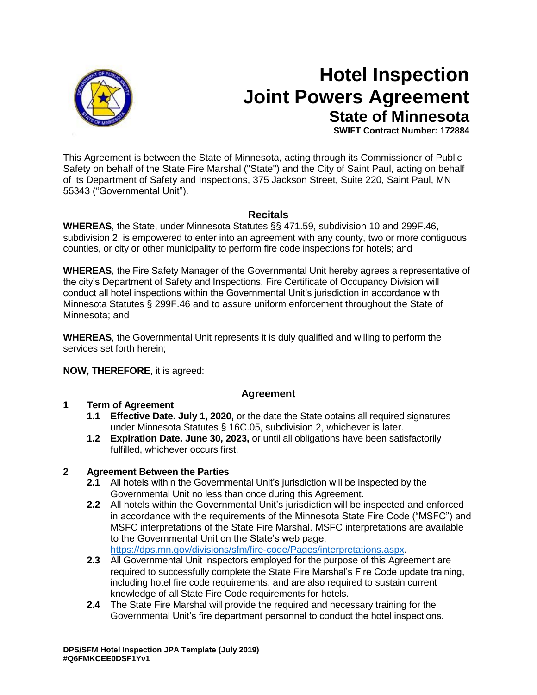

# **Hotel Inspection Joint Powers Agreement State of Minnesota**

**SWIFT Contract Number: 172884**

This Agreement is between the State of Minnesota, acting through its Commissioner of Public Safety on behalf of the State Fire Marshal ("State") and the City of Saint Paul, acting on behalf of its Department of Safety and Inspections, 375 Jackson Street, Suite 220, Saint Paul, MN 55343 ("Governmental Unit").

# **Recitals**

**WHEREAS**, the State, under Minnesota Statutes §§ 471.59, subdivision 10 and 299F.46, subdivision 2, is empowered to enter into an agreement with any county, two or more contiguous counties, or city or other municipality to perform fire code inspections for hotels; and

**WHEREAS**, the Fire Safety Manager of the Governmental Unit hereby agrees a representative of the city's Department of Safety and Inspections, Fire Certificate of Occupancy Division will conduct all hotel inspections within the Governmental Unit's jurisdiction in accordance with Minnesota Statutes § 299F.46 and to assure uniform enforcement throughout the State of Minnesota; and

**WHEREAS**, the Governmental Unit represents it is duly qualified and willing to perform the services set forth herein;

## **NOW, THEREFORE**, it is agreed:

## **Agreement**

## **1 Term of Agreement**

- **1.1 Effective Date. July 1, 2020,** or the date the State obtains all required signatures under Minnesota Statutes § 16C.05, subdivision 2, whichever is later.
- **1.2 Expiration Date. June 30, 2023,** or until all obligations have been satisfactorily fulfilled, whichever occurs first.

## **2 Agreement Between the Parties**

- **2.1** All hotels within the Governmental Unit's jurisdiction will be inspected by the Governmental Unit no less than once during this Agreement.
- **2.2** All hotels within the Governmental Unit's jurisdiction will be inspected and enforced in accordance with the requirements of the Minnesota State Fire Code ("MSFC") and MSFC interpretations of the State Fire Marshal. MSFC interpretations are available to the Governmental Unit on the State's web page, [https://dps.mn.gov/divisions/sfm/fire-code/Pages/interpretations.aspx.](https://dps.mn.gov/divisions/sfm/fire-code/Pages/interpretations.aspx)
- **2.3** All Governmental Unit inspectors employed for the purpose of this Agreement are required to successfully complete the State Fire Marshal's Fire Code update training, including hotel fire code requirements, and are also required to sustain current knowledge of all State Fire Code requirements for hotels.
- **2.4** The State Fire Marshal will provide the required and necessary training for the Governmental Unit's fire department personnel to conduct the hotel inspections.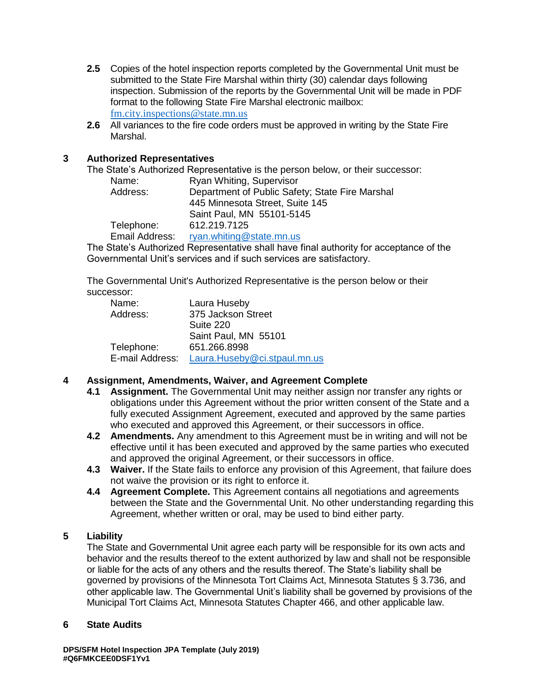- **2.5** Copies of the hotel inspection reports completed by the Governmental Unit must be submitted to the State Fire Marshal within thirty (30) calendar days following inspection. Submission of the reports by the Governmental Unit will be made in PDF format to the following State Fire Marshal electronic mailbox: [fm.city.inspections@state.mn.us](mailto:fm.city.inspections@state.mn.us)
- **2.6** All variances to the fire code orders must be approved in writing by the State Fire Marshal.

## **3 Authorized Representatives**

The State's Authorized Representative is the person below, or their successor:

| Name:          | Ryan Whiting, Supervisor                        |
|----------------|-------------------------------------------------|
| Address:       | Department of Public Safety; State Fire Marshal |
|                | 445 Minnesota Street, Suite 145                 |
|                | Saint Paul, MN 55101-5145                       |
| Telephone:     | 612.219.7125                                    |
| Email Address: | ryan.whiting@state.mn.us                        |
|                |                                                 |

The State's Authorized Representative shall have final authority for acceptance of the Governmental Unit's services and if such services are satisfactory.

The Governmental Unit's Authorized Representative is the person below or their successor:

| Name:           | Laura Huseby                 |
|-----------------|------------------------------|
| Address:        | 375 Jackson Street           |
|                 | Suite 220                    |
|                 | Saint Paul, MN 55101         |
| Telephone:      | 651.266.8998                 |
| E-mail Address: | Laura.Huseby@ci.stpaul.mn.us |

# **4 Assignment, Amendments, Waiver, and Agreement Complete**

- **4.1 Assignment.** The Governmental Unit may neither assign nor transfer any rights or obligations under this Agreement without the prior written consent of the State and a fully executed Assignment Agreement, executed and approved by the same parties who executed and approved this Agreement, or their successors in office.
- **4.2 Amendments.** Any amendment to this Agreement must be in writing and will not be effective until it has been executed and approved by the same parties who executed and approved the original Agreement, or their successors in office.
- **4.3 Waiver.** If the State fails to enforce any provision of this Agreement, that failure does not waive the provision or its right to enforce it.
- **4.4 Agreement Complete.** This Agreement contains all negotiations and agreements between the State and the Governmental Unit. No other understanding regarding this Agreement, whether written or oral, may be used to bind either party.

# **5 Liability**

The State and Governmental Unit agree each party will be responsible for its own acts and behavior and the results thereof to the extent authorized by law and shall not be responsible or liable for the acts of any others and the results thereof. The State's liability shall be governed by provisions of the Minnesota Tort Claims Act, Minnesota Statutes § 3.736, and other applicable law. The Governmental Unit's liability shall be governed by provisions of the Municipal Tort Claims Act, Minnesota Statutes Chapter 466, and other applicable law.

## **6 State Audits**

**DPS/SFM Hotel Inspection JPA Template (July 2019) #Q6FMKCEE0DSF1Yv1**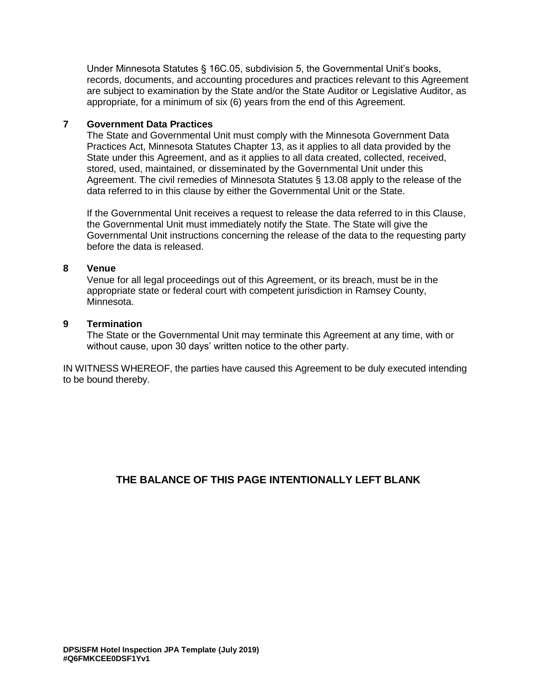Under Minnesota Statutes § 16C.05, subdivision 5, the Governmental Unit's books, records, documents, and accounting procedures and practices relevant to this Agreement are subject to examination by the State and/or the State Auditor or Legislative Auditor, as appropriate, for a minimum of six (6) years from the end of this Agreement.

#### **7 Government Data Practices**

The State and Governmental Unit must comply with the Minnesota Government Data Practices Act, Minnesota Statutes Chapter 13, as it applies to all data provided by the State under this Agreement, and as it applies to all data created, collected, received, stored, used, maintained, or disseminated by the Governmental Unit under this Agreement. The civil remedies of Minnesota Statutes § 13.08 apply to the release of the data referred to in this clause by either the Governmental Unit or the State.

If the Governmental Unit receives a request to release the data referred to in this Clause, the Governmental Unit must immediately notify the State. The State will give the Governmental Unit instructions concerning the release of the data to the requesting party before the data is released.

#### **8 Venue**

Venue for all legal proceedings out of this Agreement, or its breach, must be in the appropriate state or federal court with competent jurisdiction in Ramsey County, Minnesota.

#### **9 Termination**

The State or the Governmental Unit may terminate this Agreement at any time, with or without cause, upon 30 days' written notice to the other party.

IN WITNESS WHEREOF, the parties have caused this Agreement to be duly executed intending to be bound thereby.

# **THE BALANCE OF THIS PAGE INTENTIONALLY LEFT BLANK**